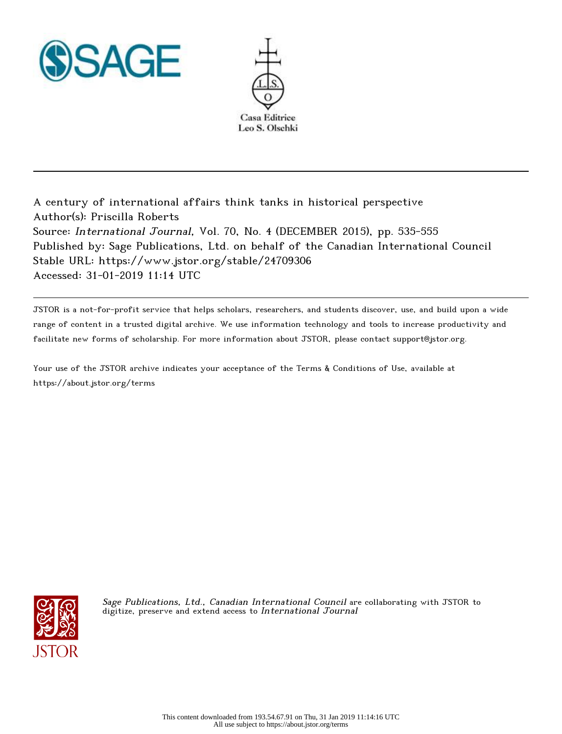



A century of international affairs think tanks in historical perspective Author(s): Priscilla Roberts Source: International Journal, Vol. 70, No. 4 (DECEMBER 2015), pp. 535-555 Published by: Sage Publications, Ltd. on behalf of the Canadian International Council Stable URL: https://www.jstor.org/stable/24709306 Accessed: 31-01-2019 11:14 UTC

JSTOR is a not-for-profit service that helps scholars, researchers, and students discover, use, and build upon a wide range of content in a trusted digital archive. We use information technology and tools to increase productivity and facilitate new forms of scholarship. For more information about JSTOR, please contact support@jstor.org.

Your use of the JSTOR archive indicates your acceptance of the Terms & Conditions of Use, available at https://about.jstor.org/terms



Sage Publications, Ltd., Canadian International Council are collaborating with JSTOR to digitize, preserve and extend access to International Journal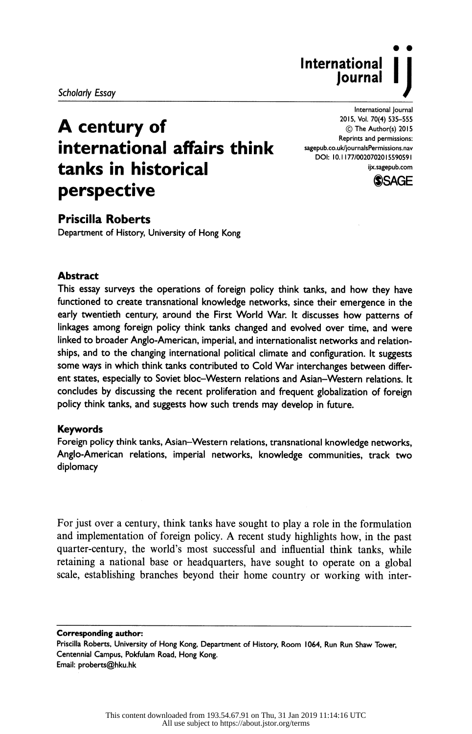

# A century of international affairs think tanks in historical perspective

 International Journal 2015, Vol. 70(4) 535-555 © The Author(s) 2015 Keprints and permissions: sagepub.co.uk/journalsPermissions.nav DOI: 10.1177/0020702015590591 ijx.sagepub.com



# Priscilla Roberts

Department of History, University of Hong Kong

## **Abstract**

 This essay surveys the operations of foreign policy think tanks, and how they have functioned to create transnational knowledge networks, since their emergence in the early twentieth century, around the First World War. It discusses how patterns of linkages among foreign policy think tanks changed and evolved over time, and were linked to broader Anglo-American, imperial, and internationalist networks and relation ships, and to the changing international political climate and configuration. It suggests some ways in which think tanks contributed to Cold War interchanges between differ ent states, especially to Soviet bloc-Western relations and Asian-Western relations. It concludes by discussing the recent proliferation and frequent globalization of foreign policy think tanks, and suggests how such trends may develop in future.

#### Keywords

 Foreign policy think tanks, Asian-Western relations, transnational knowledge networks, Anglo-American relations, imperial networks, knowledge communities, track two diplomacy

 For just over a century, think tanks have sought to play a role in the formulation and implementation of foreign policy. A recent study highlights how, in the past quarter-century, the world's most successful and influential think tanks, while retaining a national base or headquarters, have sought to operate on a global scale, establishing branches beyond their home country or working with inter

Corresponding author:

 Priscilla Roberts, University of Hong Kong, Department of History, Room 1064, Run Run Shaw Tower, Centennial Campus, Pokfulam Road, Hong Kong. Email: proberts@hku.hk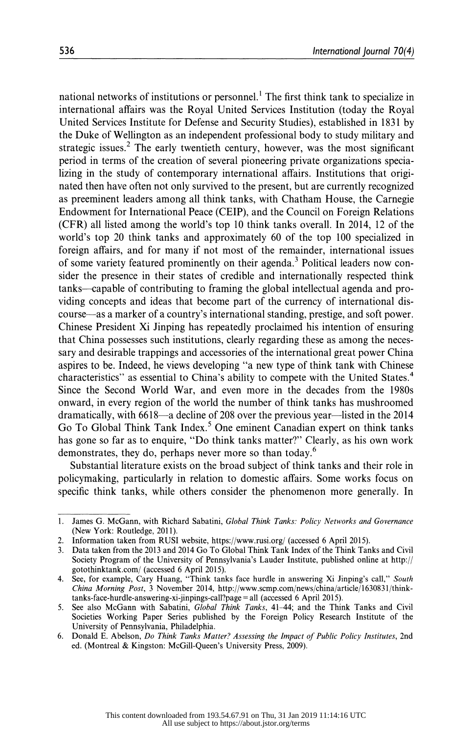national networks of institutions or personnel.<sup>1</sup> The first think tank to specialize in international affairs was the Royal United Services Institution (today the Royal United Services Institute for Defense and Security Studies), established in 1831 by the Duke of Wellington as an independent professional body to study military and strategic issues.<sup>2</sup> The early twentieth century, however, was the most significant period in terms of the creation of several pioneering private organizations specia lizing in the study of contemporary international affairs. Institutions that origi nated then have often not only survived to the present, but are currently recognized as preeminent leaders among all think tanks, with Chatham House, the Carnegie Endowment for International Peace (CEIP), and the Council on Foreign Relations (CFR) all listed among the world's top 10 think tanks overall. In 2014, 12 of the world's top 20 think tanks and approximately 60 of the top 100 specialized in foreign affairs, and for many if not most of the remainder, international issues of some variety featured prominently on their agenda.<sup>3</sup> Political leaders now con sider the presence in their states of credible and internationally respected think tanks—capable of contributing to framing the global intellectual agenda and pro viding concepts and ideas that become part of the currency of international dis course—as a marker of a country's international standing, prestige, and soft power. Chinese President Xi Jinping has repeatedly proclaimed his intention of ensuring that China possesses such institutions, clearly regarding these as among the neces sary and desirable trappings and accessories of the international great power China aspires to be. Indeed, he views developing "a new type of think tank with Chinese characteristics" as essential to China's ability to compete with the United States.<sup>4</sup> Since the Second World War, and even more in the decades from the 1980s onward, in every region of the world the number of think tanks has mushroomed dramatically, with 6618—a decline of 208 over the previous year—listed in the 2014 Go To Global Think Tank Index.<sup>5</sup> One eminent Canadian expert on think tanks has gone so far as to enquire, "Do think tanks matter?" Clearly, as his own work demonstrates, they do, perhaps never more so than today.<sup>6</sup>

 Substantial literature exists on the broad subject of think tanks and their role in policymaking, particularly in relation to domestic affairs. Some works focus on specific think tanks, while others consider the phenomenon more generally. In

 <sup>1.</sup> James G. McGann, with Richard Sabatini, Global Think Tanks: Policy Networks and Governance (New York: Routledge, 2011).

 <sup>2.</sup> Information taken from RUSI website, https://www.rusi.org/ (accessed 6 April 2015).

 <sup>3.</sup> Data taken from the 2013 and 2014 Go To Global Think Tank Index of the Think Tanks and Civil Society Program of the University of Pennsylvania's Lauder Institute, published online at http:// gotothinktank.com/ (accessed 6 April 2015).

 <sup>4.</sup> See, for example, Cary Huang, "Think tanks face hurdle in answering Xi Jinping's call," South China Morning Post, 3 November 2014, http://www.scmp.com/news/china/article/1630831/think tanks-face-hurdle-answering-xi-jinpings-call?page = all (accessed 6 April 2015).

<sup>5.</sup> See also McGann with Sabatini, Global Think Tanks, 41-44; and the Think Tanks and Civil Societies Working Paper Series published by the Foreign Policy Research Institute of the University of Pennsylvania, Philadelphia.

 <sup>6.</sup> Donald E. Abelson, Do Think Tanks Matter? Assessing the Impact of Public Policy Institutes, 2nd ed. (Montreal & Kingston: McGill-Queen's University Press, 2009).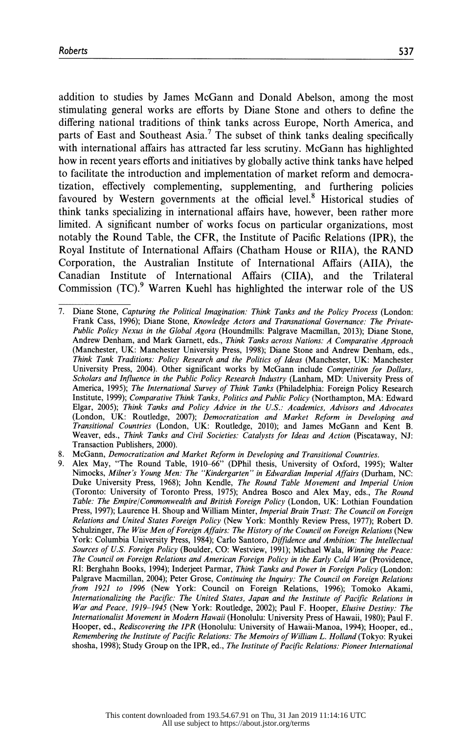addition to studies by James McGann and Donald Abelson, among the most stimulating general works are efforts by Diane Stone and others to define the differing national traditions of think tanks across Europe, North America, and parts of East and Southeast Asia.<sup>7</sup> The subset of think tanks dealing specifically with international affairs has attracted far less scrutiny. McGann has highlighted how in recent years efforts and initiatives by globally active think tanks have helped to facilitate the introduction and implementation of market reform and democra tization, effectively complementing, supplementing, and furthering policies favoured by Western governments at the official level.<sup>8</sup> Historical studies of think tanks specializing in international affairs have, however, been rather more limited. A significant number of works focus on particular organizations, most notably the Round Table, the CFR, the Institute of Pacific Relations (IPR), the Royal Institute of International Affairs (Chatham House or RIIA), the RAND Corporation, the Australian Institute of International Affairs (AHA), the Canadian Institute of International Affairs (CIIA), and the Trilateral Commission (TC).<sup>9</sup> Warren Kuehl has highlighted the interwar role of the US

Diane Stone, Capturing the Political Imagination: Think Tanks and the Policy Process (London: Frank Cass, 1996); Diane Stone, Knowledge Actors and Transnational Governance: The Private Public Policy Nexus in the Global Agora (Houndmills: Palgrave Macmillan, 2013); Diane Stone, Andrew Denham, and Mark Garnett, eds., Think Tanks across Nations: A Comparative Approach (Manchester, UK: Manchester University Press, 1998); Diane Stone and Andrew Denham, eds., Think Tank Traditions: Policy Research and the Politics of Ideas (Manchester, UK: Manchester University Press, 2004). Other significant works by McGann include Competition for Dollars, Scholars and Influence in the Public Policy Research Industry (Lanham, MD: University Press of America, 1995); The International Survey of Think Tanks (Philadelphia: Foreign Policy Research Institute, 1999); Comparative Think Tanks, Politics and Public Policy (Northampton, MA: Edward Elgar, 2005); Think Tanks and Policy Advice in the U.S.: Academics, Advisors and Advocates (London, UK: Routledge, 2007); Democratization and Market Reform in Developing and Transitional Countries (London, UK: Routledge, 2010); and James McGann and Kent B. Weaver, eds., Think Tanks and Civil Societies: Catalysts for Ideas and Action (Piscataway, NJ: Transaction Publishers, 2000).

 <sup>8.</sup> McGann, Democratization and Market Reform in Developing and Transitional Countries.

 <sup>9.</sup> Alex May, "The Round Table, 1910-66" (DPhil thesis, University of Oxford, 1995); Walter Nimocks, Milner's Young Men: The "Kindergarten" in Edwardian Imperial Affairs (Durham, NC: Duke University Press, 1968); John Kendle, The Round Table Movement and Imperial Union (Toronto: University of Toronto Press, 1975); Andrea Bosco and Alex May, eds., The Round Table: The Empire/Commonwealth and British Foreign Policy (London, UK: Lothian Foundation Press, 1997); Laurence H. Shoup and William Minter, Imperial Brain Trust: The Council on Foreign Relations and United States Foreign Policy (New York: Monthly Review Press, 1977); Robert D. Schulzinger, The Wise Men of Foreign Affairs: The History of the Council on Foreign Relations (New York: Columbia University Press, 1984); Carlo Santoro, Diffidence and Ambition: The Intellectual Sources of U.S. Foreign Policy (Boulder, CO: Westview, 1991); Michael Wala, Winning the Peace: The Council on Foreign Relations and American Foreign Policy in the Early Cold War (Providence, RI: Berghahn Books, 1994); Inderjeet Parmar, Think Tanks and Power in Foreign Policy (London: Palgrave Macmillan, 2004); Peter Grose, Continuing the Inquiry: The Council on Foreign Relations from 1921 to 1996 (New York: Council on Foreign Relations, 1996); Tomoko Akami, Internationalizing the Pacific: The United States, Japan and the Institute of Pacific Relations in War and Peace, 1919-1945 (New York: Routledge, 2002); Paul F. Hooper, Elusive Destiny: The Internationalist Movement in Modern Hawaii (Honolulu: University Press of Hawaii, 1980); Paul F. Hooper, ed., Rediscovering the IPR (Honolulu: University of Hawaii-Manoa, 1994); Hooper, ed., Remembering the Institute of Pacific Relations: The Memoirs of William L. Holland (Tokyo: Ryukei shosha, 1998); Study Group on the IPR, ed., The Institute of Pacific Relations: Pioneer International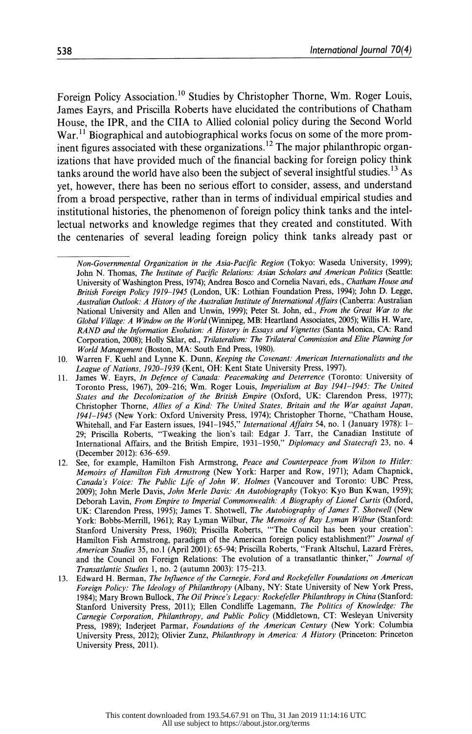Foreign Policy Association.<sup>10</sup> Studies by Christopher Thorne, Wm. Roger Louis, James Eayrs, and Priscilla Roberts have elucidated the contributions of Chatham House, the IPR, and the CIIA to Allied colonial policy during the Second World War.<sup>11</sup> Biographical and autobiographical works focus on some of the more prom-War. Biographical and autobiographical works focus on some of the more prom- $\liminf$  inequires associated with these organizations. The major philanthropic organizations izations that have provided much of the financial backing for foreign policy think tanks around the world have also been the subject of several insightful studies.13 As yet, however, there has been no serious effort to consider, assess, and understand from a broad perspective, rather than in terms of individual empirical studies and institutional histories, the phenomenon of foreign policy think tanks and the intel lectual networks and knowledge regimes that they created and constituted. With the centenaries of several leading foreign policy think tanks already past or

- 10. Warren F. Kuehl and Lynne K. Dunn, Keeping the Covenant: American Internationalists and the League of Nations, 1920–1939 (Kent, OH: Kent State University Press, 1997). League of Nations, 1920-1939 (Kent, OH: Kent State University Press, 1997).
- 11. James W. Eayrs, In Defence of Canada: Peacemaking and Deterrence (Toronto: University of Toronto Press,  $1967$ ,  $209-216$ ; Wm. Roger Louis, *Imperialism at Bay 1941-1945*: The United States and the Decolonization of the British Empire (Oxford, UK: Clarendon Press, 1977); Christopher Thorne, Allies of a Kind: The United States, Britain and the War against Japan, 1941-1945 (New York: Oxford University Press, 1974); Christopher Thorne, "Chatham House, Whitehall, and Far Eastern issues, 1941-1945," International Affairs 54, no. 1 (January 1978): 1- 29; Priscilla Roberts, "Tweaking the lion's tail: Edgar J. Tarr, the Canadian Institute of International Affairs, and the British Empire, 1931-1950," Diplomacy and Statecraft 23, no. 4 (December 2012): 636-659.
- 12. See, for example, Hamilton Fish Armstrong, Peace and Counterpeace from Wilson to Hitler: Memoirs of Hamilton Fish Armstrong (New York: Harper and Row, 1971); Adam Chapnick, Canada's Voice: The Public Life of John W. Holmes (Vancouver and Toronto: UBC Press, 2009); John Merle Davis, John Merle Davis: An Autobiography (Tokyo: Kyo Bun Kwan, 1959); Deborah Lavin, From Empire to Imperial Commonwealth: A Biography of Lionel Curtis (Oxford, UK: Clarendon Press, 1995); James T. Shotwell, The Autobiography of James T. Shotwell (New York: Bobbs-Merrill, 1961); Ray Lyman Wilbur, The Memoirs of Ray Lyman Wilbur (Stanford: Stanford University Press, 1960); Priscilla Roberts, '"The Council has been your creation': Hamilton Fish Armstrong, paradigm of the American foreign policy establishment?" Journal of American Studies 35, no.l (April 2001): 65-94; Priscilla Roberts, "Frank Altschul, Lazard Frères, and the Council on Foreign Relations: The evolution of a transatlantic thinker," Journal of Transatlantic Studies 1, no. 2 (autumn 2003): 175-213.
- 13. Edward H. Berman, The Influence of the Carnegie, Ford and Rockefeller Foundations on American Foreign Policy: The Ideology of Philanthropy (Albany, NY: State University of New York Press, 1984); Mary Brown Bullock, The Oil Prince's Legacy: Rockefeller Philanthropy in China (Stanford: Stanford University Press, 2011); Ellen Condliffe Lagemann, The Politics of Knowledge: The Carnegie Corporation, Philanthropy, and Public Policy (Middletown, CT: Wesleyan University Press, 1989); Inderjeet Parmar, Foundations of the American Century (New York: Columbia University Press, 2012); Olivier Zunz, Philanthropy in America: A History (Princeton: Princeton University Press, 2011).

Non-Governmental Organization in the Asia-Pacific Region (Tokyo: Waseda University, 1999); John N. Thomas, The Institute of Pacific Relations: Asian Scholars and American Politics (Seattle: University of Washington Press, 1974); Andrea Bosco and Cornelia Navari, eds., Chatham House and British Foreign Policy 1919-1945 (London, UK: Lothian Foundation Press, 1994); John D. Legge, Australian Outlook: A History of the Australian Institute of International Affairs (Canberra: Australian National University and Allen and Unwin, 1999); Peter St. John, ed., From the Great War to the Global Village: A Window on the World (Winnipeg, MB: Heartland Associates, 2005); Willis H. Ware, RAND and the Information Evolution: A History in Essays and Vignettes (Santa Monica, CA: Rand RAND and the Information Evolution: A History in Essays and Vignettes (Santa Monica, CA: Rand Corporation, 2008); Holly Sklar, ed., Trilateralism: The Trilateral Commission and Elite Planning for World Management (Boston, MA: South End Press, 1980).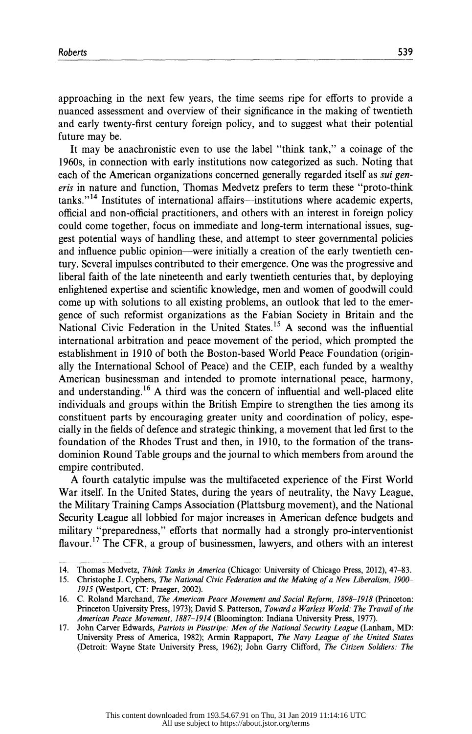approaching in the next few years, the time seems ripe for efforts to provide a nuanced assessment and overview of their significance in the making of twentieth and early twenty-first century foreign policy, and to suggest what their potential future may be.

 It may be anachronistic even to use the label "think tank," a coinage of the 1960s, in connection with early institutions now categorized as such. Noting that each of the American organizations concerned generally regarded itself as *sui gen* eris in nature and function, Thomas Medvetz prefers to term these "proto-think tanks."14 Institutes of international affairs—institutions where academic experts, official and non-official practitioners, and others with an interest in foreign policy could come together, focus on immediate and long-term international issues, sug gest potential ways of handling these, and attempt to steer governmental policies and influence public opinion—were initially a creation of the early twentieth cen tury. Several impulses contributed to their emergence. One was the progressive and liberal faith of the late nineteenth and early twentieth centuries that, by deploying enlightened expertise and scientific knowledge, men and women of goodwill could come up with solutions to all existing problems, an outlook that led to the emer gence of such reformist organizations as the Fabian Society in Britain and the National Civic Federation in the United States.<sup>15</sup> A second was the influential international arbitration and peace movement of the period, which prompted the establishment in 1910 of both the Boston-based World Peace Foundation (origin ally the International School of Peace) and the CEIP, each funded by a wealthy American businessman and intended to promote international peace, harmony, and understanding.<sup>16</sup> A third was the concern of influential and well-placed elite individuals and groups within the British Empire to strengthen the ties among its constituent parts by encouraging greater unity and coordination of policy, espe cially in the fields of defence and strategic thinking, a movement that led first to the foundation of the Rhodes Trust and then, in 1910, to the formation of the trans dominion Round Table groups and the journal to which members from around the empire contributed.

 A fourth catalytic impulse was the multifaceted experience of the First World War itself. In the United States, during the years of neutrality, the Navy League, the Military Training Camps Association (Plattsburg movement), and the National Security League all lobbied for major increases in American defence budgets and military "preparedness," efforts that normally had a strongly pro-interventionist flavour.<sup>17</sup> The CFR, a group of businessmen, lawyers, and others with an interest

<sup>14.</sup> Thomas Medvetz, Think Tanks in America (Chicago: University of Chicago Press, 2012), 47–83.<br>15. Christophe J. Cyphers, The National Civic Federation and the Making of a New Liberalism. 1900–

 <sup>15.</sup> Christophe J. Cyphers, The National Civic Federation and the Making of a New Liberalism, 1900 1915 (Westport, CT: Praeger, 2002).

 <sup>16.</sup> C. Roland Marchand, The American Peace Movement and Social Reform, 1898-1918 (Princeton: Princeton University Press, 1973); David S. Patterson, Toward a Warless World: The Travail of the American Peace Movement, 1887-1914 (Bloomington: Indiana University Press, 1977).

<sup>17.</sup> John Carver Edwards, Patriots in Pinstripe: Men of the National Security League (Lanham, MD: University Press of America, 1982); Armin Rappaport, The Navy League of the United States (Detroit: Wayne State University Press, 1962); John Garry Clifford, The Citizen Soldiers: The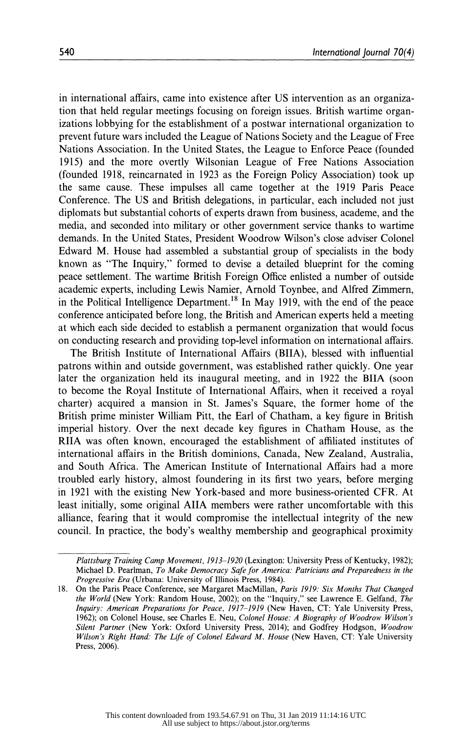in international affairs, came into existence after US intervention as an organiza tion that held regular meetings focusing on foreign issues. British wartime organ izations lobbying for the establishment of a postwar international organization to prevent future wars included the League of Nations Society and the League of Free Nations Association. In the United States, the League to Enforce Peace (founded 1915) and the more overtly Wilsonian League of Free Nations Association (founded 1918, reincarnated in 1923 as the Foreign Policy Association) took up the same cause. These impulses all came together at the 1919 Paris Peace Conference. The US and British delegations, in particular, each included not just diplomats but substantial cohorts of experts drawn from business, academe, and the media, and seconded into military or other government service thanks to wartime demands. In the United States, President Woodrow Wilson's close adviser Colonel Edward M. House had assembled a substantial group of specialists in the body known as "The Inquiry," formed to devise a detailed blueprint for the coming peace settlement. The wartime British Foreign Office enlisted a number of outside academic experts, including Lewis Namier, Arnold Toynbee, and Alfred Zimmern, in the Political Intelligence Department.18 In May 1919, with the end of the peace conference anticipated before long, the British and American experts held a meeting at which each side decided to establish a permanent organization that would focus on conducting research and providing top-level information on international affairs.

 The British Institute of International Affairs (BIIA), blessed with influential patrons within and outside government, was established rather quickly. One year later the organization held its inaugural meeting, and in 1922 the BIIA (soon to become the Royal Institute of International Affairs, when it received a royal charter) acquired a mansion in St. James's Square, the former home of the British prime minister William Pitt, the Earl of Chatham, a key figure in British imperial history. Over the next decade key figures in Chatham House, as the RIIA was often known, encouraged the establishment of affiliated institutes of international affairs in the British dominions, Canada, New Zealand, Australia, and South Africa. The American Institute of International Affairs had a more troubled early history, almost foundering in its first two years, before merging in 1921 with the existing New York-based and more business-oriented CFR. At least initially, some original AIIA members were rather uncomfortable with this alliance, fearing that it would compromise the intellectual integrity of the new council. In practice, the body's wealthy membership and geographical proximity

Plattsburg Training Camp Movement, 1913-1920 (Lexington: University Press of Kentucky, 1982); Michael D. Pearlman, To Make Democracy Safe for America: Patricians and Preparedness in the Progressive Era (Urbana: University of Illinois Press, 1984).

 <sup>18.</sup> On the Paris Peace Conference, see Margaret MacMillan, Paris 1919: Six Months That Changed the World (New York: Random House, 2002); on the "Inquiry," see Lawrence E. Gelfand, The Inquiry: American Preparations for Peace, 1917-1919 (New Haven, CT: Yale University Press, 1962); on Colonel House, see Charles E. Neu, Colonel House: A Biography of Woodrow Wilson's Silent Partner (New York: Oxford University Press, 2014); and Godfrey Hodgson, Woodrow Wilson's Right Hand: The Life of Colonel Edward M. House (New Haven, CT: Yale University Press, 2006).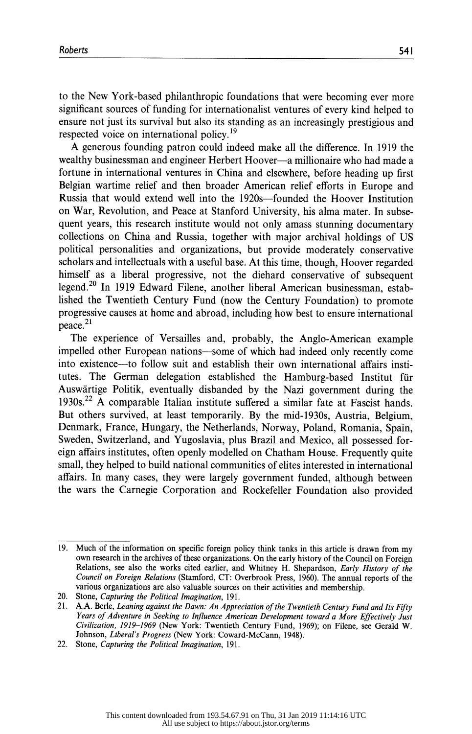to the New York-based philanthropic foundations that were becoming ever more significant sources of funding for internationalist ventures of every kind helped to significant sources of funding for internationalist ventures of every kin ensure not just its survival but also its standing as an increasingly prestigious and respected voice on international policy.<sup>19</sup>

 A generous founding patron could indeed make all the difference. In 1919 the wealthy businessman and engineer Herbert Hoover—a millionaire who had made a fortune in international ventures in China and elsewhere, before heading up first Belgian wartime relief and then broader American relief efforts in Europe and Russia that would extend well into the 1920s—founded the Hoover Institution on War, Revolution, and Peace at Stanford University, his alma mater. In subse quent years, this research institute would not only amass stunning documentary collections on China and Russia, together with major archival holdings of US political personalities and organizations, but provide moderately conservative scholars and intellectuals with a useful base. At this time, though, Hoover regarded himself as a liberal progressive, not the diehard conservative of subsequent legend.<sup>20</sup> In 1919 Edward Filene, another liberal American businessman, estab lished the Twentieth Century Fund (now the Century Foundation) to promote progressive causes at home and abroad, including how best to ensure international peace. $21$ 

 The experience of Versailles and, probably, the Anglo-American example impelled other European nations—some of which had indeed only recently come into existence—to follow suit and establish their own international affairs insti tutes. The German delegation established the Hamburg-based Institut für Auswärtige Politik, eventually disbanded by the Nazi government during the 1930s.22 A comparable Italian institute suffered a similar fate at Fascist hands. But others survived, at least temporarily. By the mid-1930s, Austria, Belgium, Denmark, France, Hungary, the Netherlands, Norway, Poland, Romania, Spain, Sweden, Switzerland, and Yugoslavia, plus Brazil and Mexico, all possessed for eign affairs institutes, often openly modelled on Chatham House. Frequently quite small, they helped to build national communities of elites interested in international affairs. In many cases, they were largely government funded, although between the wars the Carnegie Corporation and Rockefeller Foundation also provided

 <sup>19.</sup> Much of the information on specific foreign policy think tanks in this article is drawn from my own research in the archives of these organizations. On the early history of the Council on Foreign Relations, see also the works cited earlier, and Whitney H. Shepardson, Early History of the Council on Foreign Relations (Stamford, CT: Overbrook Press, 1960). The annual reports of the various organizations are also valuable sources on their activities and membership.

 <sup>20.</sup> Stone, Capturing the Political Imagination, 191.

<sup>21.</sup> A.A. Berle, Leaning against the Dawn: An Appreciation of the Twentieth Century Fund and Its Fifty<br>Years of Adventure in Seeking to Influence American Development toward a More Effectively Just Tears of Adventure in Seeking to Influence American Development toward a More Effectively C*ivilization, 1919-1969* (New York: Twentieth Century Fund, 1969); on Filene, see Ger Johnson, Liberal's Progress (New York: Coward-McCann, 1948).

 <sup>22.</sup> Stone, Capturing the Political Imagination, 191.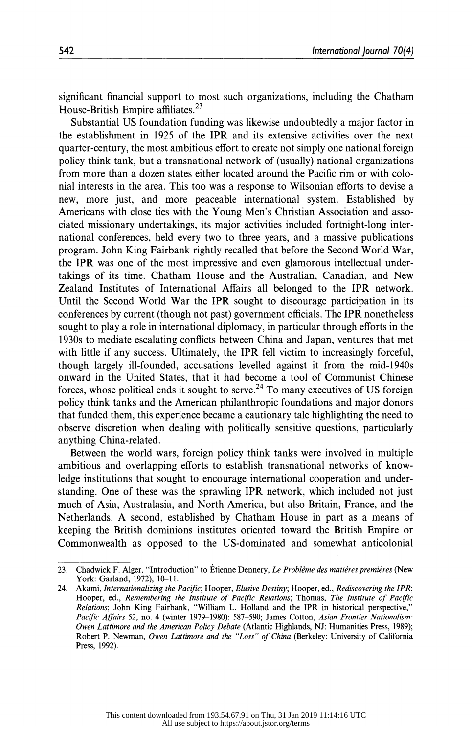significant financial support to most such organizations, including the Chatham House-British Empire affiliates.23

 Substantial US foundation funding was likewise undoubtedly a major factor in the establishment in 1925 of the IPR and its extensive activities over the next quarter-century, the most ambitious effort to create not simply one national foreign policy think tank, but a transnational network of (usually) national organizations from more than a dozen states either located around the Pacific rim or with colo nial interests in the area. This too was a response to Wilsonian efforts to devise a new, more just, and more peaceable international system. Established by Americans with close ties with the Young Men's Christian Association and asso ciated missionary undertakings, its major activities included fortnight-long inter national conferences, held every two to three years, and a massive publications program. John King Fairbank rightly recalled that before the Second World War, the IPR was one of the most impressive and even glamorous intellectual under takings of its time. Chatham House and the Australian, Canadian, and New Zealand Institutes of International Affairs all belonged to the IPR network. Until the Second World War the IPR sought to discourage participation in its conferences by current (though not past) government officials. The IPR nonetheless sought to play a role in international diplomacy, in particular through efforts in the 1930s to mediate escalating conflicts between China and Japan, ventures that met with little if any success. Ultimately, the IPR fell victim to increasingly forceful, though largely ill-founded, accusations levelled against it from the mid-1940s onward in the United States, that it had become a tool of Communist Chinese forces, whose political ends it sought to serve.<sup>24</sup> To many executives of US foreign policy think tanks and the American philanthropic foundations and major donors that funded them, this experience became a cautionary tale highlighting the need to observe discretion when dealing with politically sensitive questions, particularly anything China-related.

 Between the world wars, foreign policy think tanks were involved in multiple ambitious and overlapping efforts to establish transnational networks of know ledge institutions that sought to encourage international cooperation and under standing. One of these was the sprawling IPR network, which included not just much of Asia, Australasia, and North America, but also Britain, France, and the Netherlands. A second, established by Chatham House in part as a means of keeping the British dominions institutes oriented toward the British Empire or Commonwealth as opposed to the US-dominated and somewhat anticolonial

<sup>23.</sup> Chadwick F. Alger, "Introduction" to Étienne Dennery, Le Problème des matières premières (New York: Garland, 1972), 10-11.

<sup>24.</sup> Akami, Internationalizing the Pacific; Hooper, Elusive Destiny; Hooper, ed., Rediscovering the IPR; Hooper, ed., Remembering the Institute of Pacific Relations; Thomas, The Institute of Pacific Relations; John King Fairbank, "William L. Holland and the IPR in historical perspective," Pacific Affairs 52, no. 4 (winter 1979-1980): 587-590; James Cotton, Asian Frontier Nationalism: Owen Lattimore and the American Policy Debate (Atlantic Highlands, NJ: Humanities Press, 1989); Robert P. Newman, Owen Lattimore and the "Loss" of China (Berkeley: University of California Press, 1992).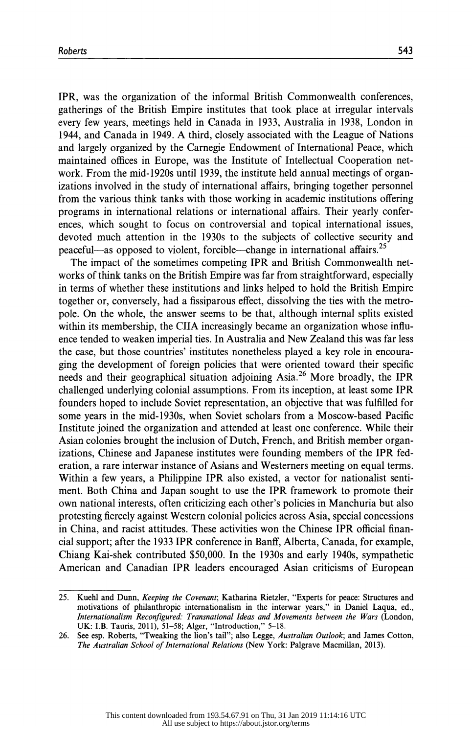IPR, was the organization of the informal British Commonwealth conferences, gatherings of the British Empire institutes that took place at irregular intervals every few years, meetings held in Canada in 1933, Australia in 1938, London in 1944, and Canada in 1949. A third, closely associated with the League of Nations and largely organized by the Carnegie Endowment of International Peace, which maintained offices in Europe, was the Institute of Intellectual Cooperation net work. From the mid-1920s until 1939, the institute held annual meetings of organ izations involved in the study of international affairs, bringing together personnel from the various think tanks with those working in academic institutions offering programs in international relations or international affairs. Their yearly confer ences, which sought to focus on controversial and topical international issues, devoted much attention in the 1930s to the subjects of collective security and peaceful—as opposed to violent, forcible—change in international affairs.<sup>25</sup>

 The impact of the sometimes competing IPR and British Commonwealth net works of think tanks on the British Empire was far from straightforward, especially in terms of whether these institutions and links helped to hold the British Empire together or, conversely, had a fissiparous effect, dissolving the ties with the metro pole. On the whole, the answer seems to be that, although internal splits existed within its membership, the CIIA increasingly became an organization whose influ ence tended to weaken imperial ties. In Australia and New Zealand this was far less the case, but those countries' institutes nonetheless played a key role in encoura ging the development of foreign policies that were oriented toward their specific needs and their geographical situation adjoining Asia.26 More broadly, the IPR challenged underlying colonial assumptions. From its inception, at least some IPR founders hoped to include Soviet representation, an objective that was fulfilled for some years in the mid-1930s, when Soviet scholars from a Moscow-based Pacific Institute joined the organization and attended at least one conference. While their Asian colonies brought the inclusion of Dutch, French, and British member organ izations, Chinese and Japanese institutes were founding members of the IPR fed eration, a rare interwar instance of Asians and Westerners meeting on equal terms. Within a few years, a Philippine IPR also existed, a vector for nationalist senti ment. Both China and Japan sought to use the IPR framework to promote their own national interests, often criticizing each other's policies in Manchuria but also protesting fiercely against Western colonial policies across Asia, special concessions in China, and racist attitudes. These activities won the Chinese IPR official finan cial support; after the 1933 IPR conference in Banff, Alberta, Canada, for example, Chiang Kai-shek contributed \$50,000. In the 1930s and early 1940s, sympathetic American and Canadian IPR leaders encouraged Asian criticisms of European

 <sup>25.</sup> Kuehl and Dunn, Keeping the Covenant; Katharina Rietzler, "Experts for peace: Structures and motivations of philanthropic internationalism in the interwar years," in Daniel Laqua, ed., Internationalism Reconfigured: Transnational Ideas and Movements between the Wars (London, UK: I.B. Tauris, 2011), 51-58; Alger, "Introduction," 5-18.

 <sup>26.</sup> See esp. Roberts, "Tweaking the lion's tail"; also Legge, Australian Outlook; and James Cotton, The Australian School of International Relations (New York: Palgrave Macmillan, 2013).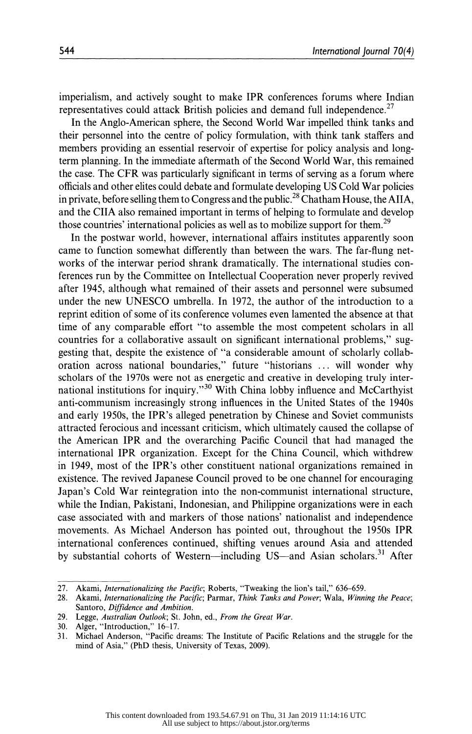imperialism, and actively sought to make IPR conferences forums where Indian representatives could attack British policies and demand full independence.<sup>27</sup>

 In the Anglo-American sphere, the Second World War impelled think tanks and their personnel into the centre of policy formulation, with think tank staffers and members providing an essential reservoir of expertise for policy analysis and long term planning. In the immediate aftermath of the Second World War, this remained the case. The CFR was particularly significant in terms of serving as a forum where officials and other elites could debate and formulate developing US Cold War policies in private, before selling them to Congress and the public.<sup>28</sup> Chatham House, the AIIA, and the CIIA also remained important in terms of helping to formulate and develop those countries' international policies as well as to mobilize support for them.<sup>29</sup>

 In the postwar world, however, international affairs institutes apparently soon came to function somewhat differently than between the wars. The far-flung net works of the interwar period shrank dramatically. The international studies con ferences run by the Committee on Intellectual Cooperation never properly revived after 1945, although what remained of their assets and personnel were subsumed under the new UNESCO umbrella. In 1972, the author of the introduction to a reprint edition of some of its conference volumes even lamented the absence at that time of any comparable effort "to assemble the most competent scholars in all countries for a collaborative assault on significant international problems," sug gesting that, despite the existence of "a considerable amount of scholarly collab oration across national boundaries," future "historians ... will wonder why scholars of the 1970s were not as energetic and creative in developing truly inter national institutions for inquiry."30 With China lobby influence and McCarthyist anti-communism increasingly strong influences in the United States of the 1940s and early 1950s, the IPR's alleged penetration by Chinese and Soviet communists attracted ferocious and incessant criticism, which ultimately caused the collapse of the American IPR and the overarching Pacific Council that had managed the international IPR organization. Except for the China Council, which withdrew in 1949, most of the IPR's other constituent national organizations remained in existence. The revived Japanese Council proved to be one channel for encouraging Japan's Cold War reintegration into the non-communist international structure, while the Indian, Pakistani, Indonesian, and Philippine organizations were in each case associated with and markers of those nations' nationalist and independence movements. As Michael Anderson has pointed out, throughout the 1950s IPR international conferences continued, shifting venues around Asia and attended by substantial cohorts of Western—including US—and Asian scholars.<sup>31</sup> After

<sup>27.</sup> Akami, *Internationalizing the Pacific*; Roberts, "Tweaking the lion's tail," 636–659.<br>28. Akami, *Internationalizing the Pacific: Parmar, Think Tanks and Power*; Wala, Winni

Akami, Internationalizing the Pacific; Parmar, Think Tanks and Power; Wala, Winning the Peace; Santoro, Diffidence and Ambition.

<sup>29.</sup> Legge, Australian Outlook; St. John, ed., From the Great War.<br>30. Alger, "Introduction," 16-17.

Alger, "Introduction," 16-17.

 <sup>31.</sup> Michael Anderson, "Pacific dreams: The Institute of Pacific Relations and the struggle for the mind of Asia," (PhD thesis, University of Texas, 2009).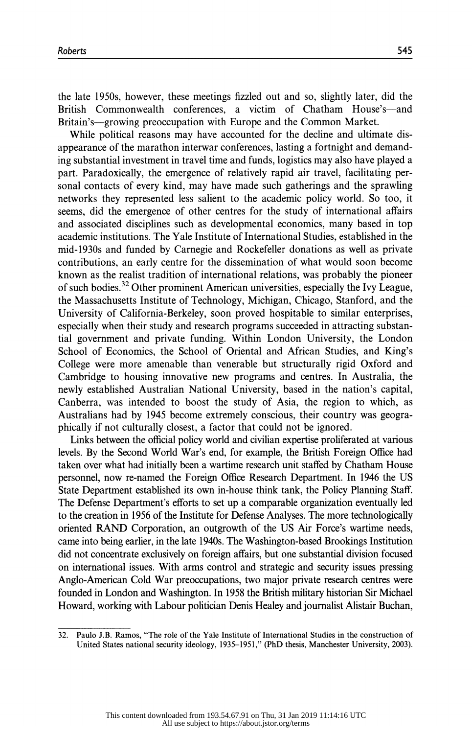the late 1950s, however, these meetings fizzled out and so, slightly later, did the British Commonwealth conferences, a victim of Chatham House's—and Britain's—growing preoccupation with Europe and the Common Market.

 While political reasons may have accounted for the decline and ultimate dis appearance of the marathon interwar conferences, lasting a fortnight and demand ing substantial investment in travel time and funds, logistics may also have played a part. Paradoxically, the emergence of relatively rapid air travel, facilitating per sonal contacts of every kind, may have made such gatherings and the sprawling networks they represented less salient to the academic policy world. So too, it seems, did the emergence of other centres for the study of international affairs and associated disciplines such as developmental economics, many based in top academic institutions. The Yale Institute of International Studies, established in the mid-1930s and funded by Carnegie and Rockefeller donations as well as private contributions, an early centre for the dissemination of what would soon become known as the realist tradition of international relations, was probably the pioneer of such bodies.32 Other prominent American universities, especially the Ivy League, the Massachusetts Institute of Technology, Michigan, Chicago, Stanford, and the University of California-Berkeley, soon proved hospitable to similar enterprises, especially when their study and research programs succeeded in attracting substan tial government and private funding. Within London University, the London School of Economics, the School of Oriental and African Studies, and King's College were more amenable than venerable but structurally rigid Oxford and Cambridge to housing innovative new programs and centres. In Australia, the newly established Australian National University, based in the nation's capital, Canberra, was intended to boost the study of Asia, the region to which, as Australians had by 1945 become extremely conscious, their country was geogra phically if not culturally closest, a factor that could not be ignored.

 Links between the official policy world and civilian expertise proliferated at various levels. By the Second World War's end, for example, the British Foreign Office had taken over what had initially been a wartime research unit staffed by Chatham House personnel, now re-named the Foreign Office Research Department. In 1946 the US State Department established its own in-house think tank, the Policy Planning Staff. The Defense Department's efforts to set up a comparable organization eventually led to the creation in 1956 of the Institute for Defense Analyses. The more technologically oriented RAND Corporation, an outgrowth of the US Air Force's wartime needs, came into being earlier, in the late 1940s. The Washington-based Brookings Institution did not concentrate exclusively on foreign affairs, but one substantial division focused on international issues. With arms control and strategic and security issues pressing Anglo-American Cold War preoccupations, two major private research centres were founded in London and Washington. In 1958 the British military historian Sir Michael Howard, working with Labour politician Denis Healey and journalist Alistair Buchan,

 <sup>32.</sup> Paulo J.B. Ramos, "The role of the Yale Institute of International Studies in the construction of United States national security ideology, 1935-1951," (PhD thesis, Manchester University, 2003).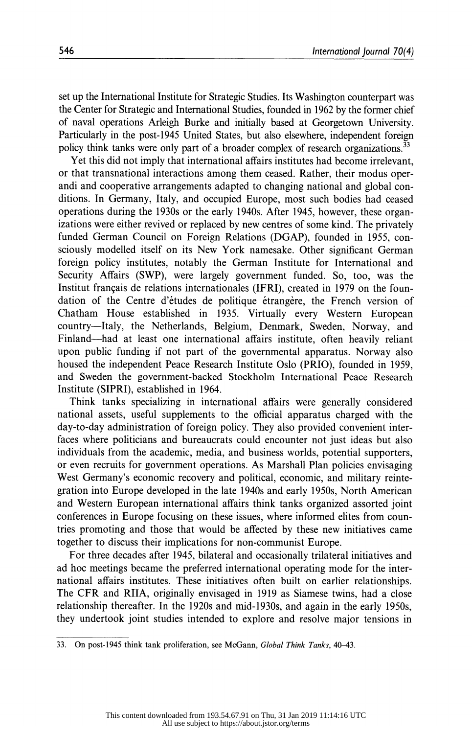set up the International Institute for Strategic Studies. Its Washington counterpart was the Center for Strategic and International Studies, founded in 1962 by the former chief of naval operations Arleigh Burke and initially based at Georgetown University. Particularly in the post-1945 United States, but also elsewhere, independent foreign policy think tanks were only part of a broader complex of research organizations.<sup>33</sup>

 Yet this did not imply that international affairs institutes had become irrelevant, or that transnational interactions among them ceased. Rather, their modus oper andi and cooperative arrangements adapted to changing national and global con ditions. In Germany, Italy, and occupied Europe, most such bodies had ceased operations during the 1930s or the early 1940s. After 1945, however, these organ izations were either revived or replaced by new centres of some kind. The privately funded German Council on Foreign Relations (DGAP), founded in 1955, con sciously modelled itself on its New York namesake. Other significant German foreign policy institutes, notably the German Institute for International and Security Affairs (SWP), were largely government funded. So, too, was the Institut français de relations internationales (IFRI), created in 1979 on the foun dation of the Centre d'études de politique étrangère, the French version of Chatham House established in 1935. Virtually every Western European country—Italy, the Netherlands, Belgium, Denmark, Sweden, Norway, and Finland—had at least one international affairs institute, often heavily reliant upon public funding if not part of the governmental apparatus. Norway also housed the independent Peace Research Institute Oslo (PRIO), founded in 1959, and Sweden the government-backed Stockholm International Peace Research Institute (SIPRI), established in 1964.

 Think tanks specializing in international affairs were generally considered national assets, useful supplements to the official apparatus charged with the day-to-day administration of foreign policy. They also provided convenient inter faces where politicians and bureaucrats could encounter not just ideas but also individuals from the academic, media, and business worlds, potential supporters, or even recruits for government operations. As Marshall Plan policies envisaging West Germany's economic recovery and political, economic, and military reinte gration into Europe developed in the late 1940s and early 1950s, North American and Western European international affairs think tanks organized assorted joint conferences in Europe focusing on these issues, where informed elites from coun tries promoting and those that would be affected by these new initiatives came together to discuss their implications for non-communist Europe.

 For three decades after 1945, bilateral and occasionally trilateral initiatives and ad hoc meetings became the preferred international operating mode for the inter national affairs institutes. These initiatives often built on earlier relationships. The CFR and RIIA, originally envisaged in 1919 as Siamese twins, had a close relationship thereafter. In the 1920s and mid-1930s, and again in the early 1950s, they undertook joint studies intended to explore and resolve major tensions in

<sup>33.</sup> On post-1945 think tank proliferation, see McGann, Global Think Tanks, 40-43.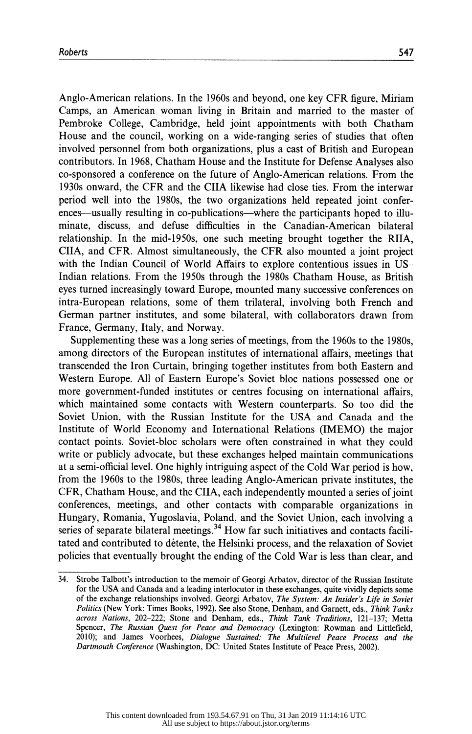Anglo-American relations. In the 1960s and beyond, one key CFR figure, Miriam Camps, an American woman living in Britain and married to the master of Pembroke College, Cambridge, held joint appointments with both Chatham House and the council, working on a wide-ranging series of studies that often involved personnel from both organizations, plus a cast of British and European contributors. In 1968, Chatham House and the Institute for Defense Analyses also co-sponsored a conference on the future of Anglo-American relations. From the 1930s onward, the CFR and the CIIA likewise had close ties. From the interwar period well into the 1980s, the two organizations held repeated joint confer ences—usually resulting in co-publications—where the participants hoped to illu minate, discuss, and defuse difficulties in the Canadian-American bilateral relationship. In the mid-1950s, one such meeting brought together the RIIA, CIIA, and CFR. Almost simultaneously, the CFR also mounted a joint project with the Indian Council of World Affairs to explore contentious issues in US Indian relations. From the 1950s through the 1980s Chatham House, as British eyes turned increasingly toward Europe, mounted many successive conferences on intra-European relations, some of them trilateral, involving both French and German partner institutes, and some bilateral, with collaborators drawn from France, Germany, Italy, and Norway.

 Supplementing these was a long series of meetings, from the 1960s to the 1980s, among directors of the European institutes of international affairs, meetings that transcended the Iron Curtain, bringing together institutes from both Eastern and Western Europe. All of Eastern Europe's Soviet bloc nations possessed one or more government-funded institutes or centres focusing on international affairs, which maintained some contacts with Western counterparts. So too did the Soviet Union, with the Russian Institute for the USA and Canada and the Institute of World Economy and International Relations (IMEMO) the major contact points. Soviet-bloc scholars were often constrained in what they could write or publicly advocate, but these exchanges helped maintain communications at a semi-official level. One highly intriguing aspect of the Cold War period is how, from the 1960s to the 1980s, three leading Anglo-American private institutes, the CFR, Chatham House, and the CIIA, each independently mounted a series of joint conferences, meetings, and other contacts with comparable organizations in Hungary, Romania, Yugoslavia, Poland, and the Soviet Union, each involving a series of separate bilateral meetings.<sup>34</sup> How far such initiatives and contacts facili tated and contributed to détente, the Helsinki process, and the relaxation of Soviet policies that eventually brought the ending of the Cold War is less than clear, and

 <sup>34.</sup> Strobe Talbott's introduction to the memoir of Georgi Arbatov, director of the Russian Institute for the USA and Canada and a leading interlocutor in these exchanges, quite vividly depicts some of the exchange relationships involved. Georgi Arbatov, The System: An Insider's Life in Soviet Politics (New York: Times Books, 1992). See also Stone, Denham, and Garnett, eds., Think Tanks across Nations, 202-222; Stone and Denham, eds., Think Tank Traditions, 121-137; Metta Spencer, The Russian Quest for Peace and Democracy (Lexington: Rowman and Littlefield, 2010); and James Voorhees, Dialogue Sustained: The Multilevel Peace Process and the Dartmouth Conference (Washington, DC: United States Institute of Peace Press, 2002).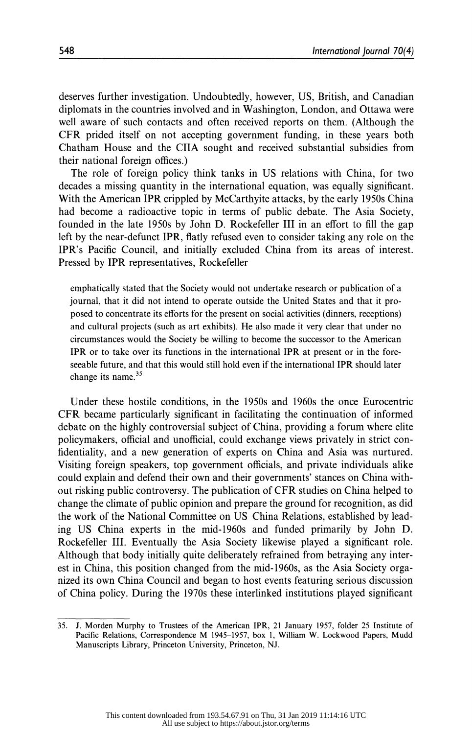deserves further investigation. Undoubtedly, however, US, British, and Canadian diplomats in the countries involved and in Washington, London, and Ottawa were well aware of such contacts and often received reports on them. (Although the CFR prided itself on not accepting government funding, in these years both Chatham House and the CIIA sought and received substantial subsidies from their national foreign offices.)

 The role of foreign policy think tanks in US relations with China, for two decades a missing quantity in the international equation, was equally significant. With the American IPR crippled by McCarthyite attacks, by the early 1950s China had become a radioactive topic in terms of public debate. The Asia Society, founded in the late 1950s by John D. Rockefeller III in an effort to fill the gap left by the near-defunct IPR, flatly refused even to consider taking any role on the IPR's Pacific Council, and initially excluded China from its areas of interest. Pressed by IPR representatives, Rockefeller

 emphatically stated that the Society would not undertake research or publication of a journal, that it did not intend to operate outside the United States and that it pro posed to concentrate its efforts for the present on social activities (dinners, receptions) and cultural projects (such as art exhibits). He also made it very clear that under no circumstances would the Society be willing to become the successor to the American IPR or to take over its functions in the international IPR at present or in the fore seeable future, and that this would still hold even if the international IPR should later change its name.<sup>35</sup>

 Under these hostile conditions, in the 1950s and 1960s the once Eurocentric CFR became particularly significant in facilitating the continuation of informed debate on the highly controversial subject of China, providing a forum where elite policymakers, official and unofficial, could exchange views privately in strict con fidentiality, and a new generation of experts on China and Asia was nurtured. Visiting foreign speakers, top government officials, and private individuals alike could explain and defend their own and their governments' stances on China with out risking public controversy. The publication of CFR studies on China helped to change the climate of public opinion and prepare the ground for recognition, as did the work of the National Committee on US-China Relations, established by lead ing US China experts in the mid-1960s and funded primarily by John D. Rockefeller III. Eventually the Asia Society likewise played a significant role. Although that body initially quite deliberately refrained from betraying any inter est in China, this position changed from the mid-1960s, as the Asia Society orga nized its own China Council and began to host events featuring serious discussion of China policy. During the 1970s these interlinked institutions played significant

 <sup>35.</sup> J. Morden Murphy to Trustees of the American [PR. 21 January 1957, folder 25 Institute of Pacific Relations, Correspondence M 1945-1957, box 1, William W. Lockwood Papers, Mudd Manuscripts Library, Princeton University, Princeton, NJ.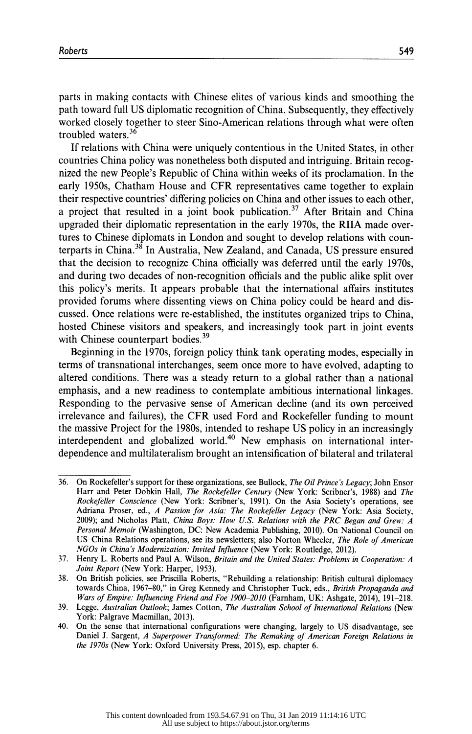parts in making contacts with Chinese elites of various kinds and smoothing the path toward full US diplomatic recognition of China. Subsequently, they effectively worked closely together to steer Sino-American relations through what were often troubled waters.36

 If relations with China were uniquely contentious in the United States, in other countries China policy was nonetheless both disputed and intriguing. Britain recog nized the new People's Republic of China within weeks of its proclamation. In the early 1950s, Chatham House and CFR representatives came together to explain their respective countries' differing policies on China and other issues to each other, a project that resulted in a joint book publication.<sup>37</sup> After Britain and China upgraded their diplomatic representation in the early 1970s, the RIIA made over tures to Chinese diplomats in London and sought to develop relations with coun terparts in China.<sup>38</sup> In Australia, New Zealand, and Canada, US pressure ensured that the decision to recognize China officially was deferred until the early 1970s, and during two decades of non-recognition officials and the public alike split over this policy's merits. It appears probable that the international affairs institutes provided forums where dissenting views on China policy could be heard and dis cussed. Once relations were re-established, the institutes organized trips to China, hosted Chinese visitors and speakers, and increasingly took part in joint events with Chinese counterpart bodies.<sup>39</sup>

 Beginning in the 1970s, foreign policy think tank operating modes, especially in terms of transnational interchanges, seem once more to have evolved, adapting to altered conditions. There was a steady return to a global rather than a national emphasis, and a new readiness to contemplate ambitious international linkages. Responding to the pervasive sense of American decline (and its own perceived irrelevance and failures), the CFR used Ford and Rockefeller funding to mount the massive Project for the 1980s, intended to reshape US policy in an increasingly interdependent and globalized world.<sup>40</sup> New emphasis on international interdependence and multilateralism brought an intensification of bilateral and trilateral

 <sup>36.</sup> On Rockefeller's support for these organizations, see Bullock, The Oil Prince's Legacy, John Ensor Harr and Peter Dobkin Hall, The Rockefeller Century (New York: Scribner's, 1988) and The Rockefeller Conscience (New York: Scribner's, 1991). On the Asia Society's operations, see Adriana Proser, ed., A Passion for Asia: The Rockefeller Legacy (New York: Asia Society, 2009); and Nicholas Piatt, China Boys: How U.S. Relations with the PRC Began and Grew: A Personal Memoir (Washington, DC: New Academia Publishing, 2010). On National Council on US-China Relations operations, see its newsletters; also Norton Wheeler, The Role of American NGOs in China's Modernization: Invited Influence (New York: Routledge, 2012).

<sup>37.</sup> Henry L. Roberts and Paul A. Wilson, Britain and the United States: Problems in Cooperation: A Joint Report (New York: Harper, 1953).

 <sup>38.</sup> On British policies, see Priscilla Roberts, "Rebuilding a relationship: British cultural diplomacy towards China, 1967-80," in Greg Kennedy and Christopher Tuck, eds., British Propaganda and Wars of Empire: Influencing Friend and Foe 1900-2010 (Farnham, UK: Ashgate, 2014), 191-218.

<sup>39.</sup> Legge, Australian Outlook; James Cotton, The Australian School of International Relations (New York: Palgrave Macmillan, 2013).

 <sup>40.</sup> On the sense that international configurations were changing, largely to US disadvantage, see Daniel J. Sargent, A Superpower Transformed: The Remaking of American Foreign Relations in the 1970s (New York: Oxford University Press, 2015), esp. chapter 6.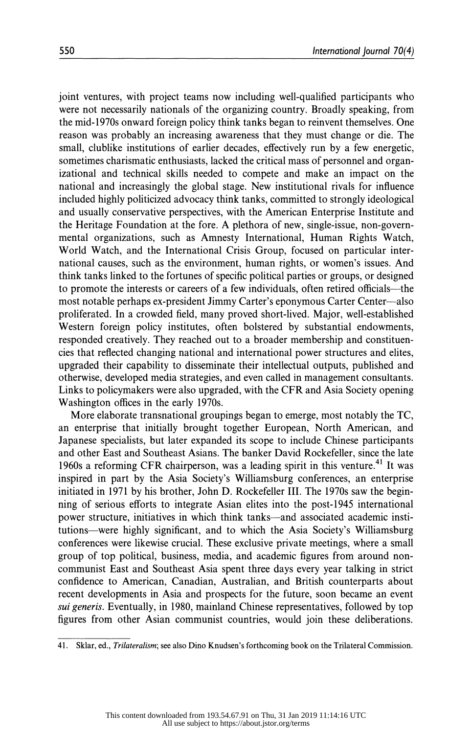joint ventures, with project teams now including well-qualified participants who were not necessarily nationals of the organizing country. Broadly speaking, from the mid-1970s onward foreign policy think tanks began to reinvent themselves. One reason was probably an increasing awareness that they must change or die. The small, clublike institutions of earlier decades, effectively run by a few energetic, sometimes charismatic enthusiasts, lacked the critical mass of personnel and organ izational and technical skills needed to compete and make an impact on the national and increasingly the global stage. New institutional rivals for influence included highly politicized advocacy think tanks, committed to strongly ideological and usually conservative perspectives, with the American Enterprise Institute and the Heritage Foundation at the fore. A plethora of new, single-issue, non-govern mental organizations, such as Amnesty International, Human Rights Watch, World Watch, and the International Crisis Group, focused on particular inter national causes, such as the environment, human rights, or women's issues. And think tanks linked to the fortunes of specific political parties or groups, or designed to promote the interests or careers of a few individuals, often retired officials—the most notable perhaps ex-president Jimmy Carter's eponymous Carter Center—also proliferated. In a crowded field, many proved short-lived. Major, well-established Western foreign policy institutes, often bolstered by substantial endowments, responded creatively. They reached out to a broader membership and constituen cies that reflected changing national and international power structures and elites, upgraded their capability to disseminate their intellectual outputs, published and otherwise, developed media strategies, and even called in management consultants. Links to policymakers were also upgraded, with the CFR and Asia Society opening Washington offices in the early 1970s.

 More elaborate transnational groupings began to emerge, most notably the TC, an enterprise that initially brought together European, North American, and Japanese specialists, but later expanded its scope to include Chinese participants and other East and Southeast Asians. The banker David Rockefeller, since the late 1960s a reforming CFR chairperson, was a leading spirit in this venture.<sup>41</sup> It was inspired in part by the Asia Society's Williamsburg conferences, an enterprise initiated in 1971 by his brother, John D. Rockefeller III. The 1970s saw the begin ning of serious efforts to integrate Asian elites into the post-1945 international power structure, initiatives in which think tanks—and associated academic insti tutions—were highly significant, and to which the Asia Society's Williamsburg conferences were likewise crucial. These exclusive private meetings, where a small group of top political, business, media, and academic figures from around non communist East and Southeast Asia spent three days every year talking in strict confidence to American, Canadian, Australian, and British counterparts about recent developments in Asia and prospects for the future, soon became an event sui generis. Eventually, in 1980, mainland Chinese representatives, followed by top figures from other Asian communist countries, would join these deliberations.

 <sup>41.</sup> Sklar, ed., Trilateralism; see also Dino Knudsen's forthcoming book on the Trilateral Commission.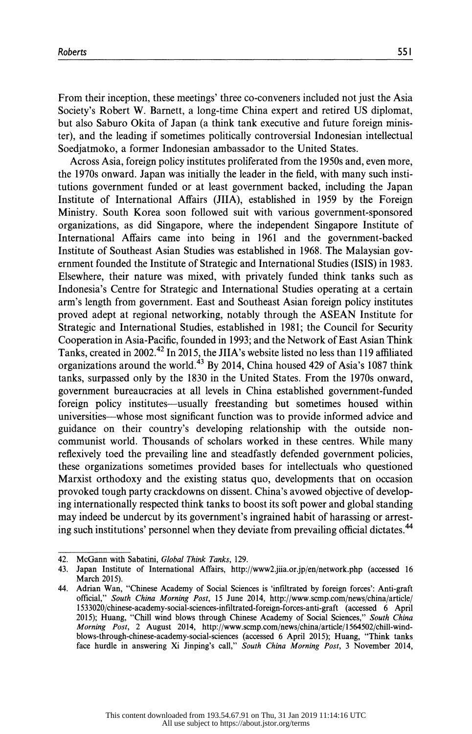From their inception, these meetings' three co-conveners included not just the Asia Society's Robert W. Barnett, a long-time China expert and retired US diplomat, but also Saburo Okita of Japan (a think tank executive and future foreign minis ter), and the leading if sometimes politically controversial Indonesian intellectual Soedjatmoko, a former Indonesian ambassador to the United States.

 Across Asia, foreign policy institutes proliferated from the 1950s and, even more, the 1970s onward. Japan was initially the leader in the field, with many such insti tutions government funded or at least government backed, including the Japan Institute of International Affairs (JIIA), established in 1959 by the Foreign Ministry. South Korea soon followed suit with various government-sponsored organizations, as did Singapore, where the independent Singapore Institute of International Affairs came into being in 1961 and the government-backed Institute of Southeast Asian Studies was established in 1968. The Malaysian gov ernment founded the Institute of Strategic and International Studies (ISIS) in 1983. Elsewhere, their nature was mixed, with privately funded think tanks such as Indonesia's Centre for Strategic and International Studies operating at a certain arm's length from government. East and Southeast Asian foreign policy institutes proved adept at regional networking, notably through the ASEAN Institute for Strategic and International Studies, established in 1981; the Council for Security Cooperation in Asia-Pacific, founded in 1993; and the Network of East Asian Think Tanks, created in 2002.42 In 2015, the JIIA's website listed no less than 119 affiliated organizations around the world.<sup>43</sup> By 2014, China housed 429 of Asia's 1087 think tanks, surpassed only by the 1830 in the United States. From the 1970s onward, government bureaucracies at all levels in China established government-funded foreign policy institutes—usually freestanding but sometimes housed within universities—whose most significant function was to provide informed advice and guidance on their country's developing relationship with the outside non communist world. Thousands of scholars worked in these centres. While many reflexively toed the prevailing line and steadfastly defended government policies, these organizations sometimes provided bases for intellectuals who questioned Marxist orthodoxy and the existing status quo, developments that on occasion provoked tough party crackdowns on dissent. China's avowed objective of develop ing internationally respected think tanks to boost its soft power and global standing may indeed be undercut by its government's ingrained habit of harassing or arrest ing such institutions' personnel when they deviate from prevailing official dictates.<sup>44</sup>

 <sup>42.</sup> McGann with Sabatini, Global Think Tanks, 129.

 <sup>43.</sup> Japan Institute of International Affairs, http://www2.jiia.or.jp/en/network.php (accessed 16 March 2015).

 <sup>44.</sup> Adrian Wan, "Chinese Academy of Social Sciences is 'infiltrated by foreign forces': Anti-graft official," South China Morning Post, 15 June 2014, http://www.scmp.com/news/china/article/ 1533020/chinese-academy-social-sciences-infiltrated-foreign-forces-anti-graft (accessed 6 April  $2013$ ); Huang, "Chill wind blows through Chinese Academy of Social Sciences,"  $30$  $Morring \; Posi, \; 2$  August 2014, http://www.scmp.com/news/china/article/1564502/c blows-through-chinese-academy-social-sciences (accessed 6 April 2015); Huang, "Think tanks face hurdle in answering Xi Jinping's call," South China Morning Post, 3 November 2014,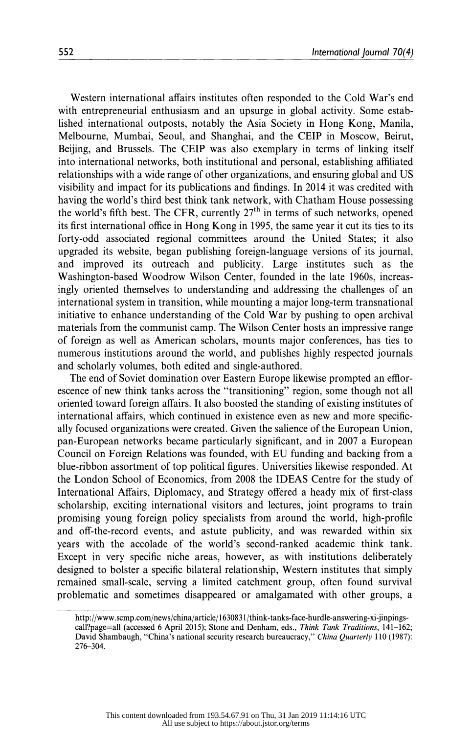Western international affairs institutes often responded to the Cold War's end with entrepreneurial enthusiasm and an upsurge in global activity. Some estab lished international outposts, notably the Asia Society in Hong Kong, Manila, Melbourne, Mumbai, Seoul, and Shanghai, and the CEIP in Moscow, Beirut, Beijing, and Brussels. The CEIP was also exemplary in terms of linking itself into international networks, both institutional and personal, establishing affiliated relationships with a wide range of other organizations, and ensuring global and US visibility and impact for its publications and findings. In 2014 it was credited with having the world's third best think tank network, with Chatham House possessing the world's fifth best. The CFR, currently  $27<sup>th</sup>$  in terms of such networks, opened its first international office in Hong Kong in 1995, the same year it cut its ties to its forty-odd associated regional committees around the United States; it also upgraded its website, began publishing foreign-language versions of its journal, and improved its outreach and publicity. Large institutes such as the Washington-based Woodrow Wilson Center, founded in the late 1960s, increas ingly oriented themselves to understanding and addressing the challenges of an international system in transition, while mounting a major long-term transnational initiative to enhance understanding of the Cold War by pushing to open archival materials from the communist camp. The Wilson Center hosts an impressive range of foreign as well as American scholars, mounts major conferences, has ties to numerous institutions around the world, and publishes highly respected journals and scholarly volumes, both edited and single-authored.

 The end of Soviet domination over Eastern Europe likewise prompted an efflor escence of new think tanks across the "transitioning" region, some though not all oriented toward foreign affairs. It also boosted the standing of existing institutes of international affairs, which continued in existence even as new and more specific ally focused organizations were created. Given the salience of the European Union, pan-European networks became particularly significant, and in 2007 a European Council on Foreign Relations was founded, with EU funding and backing from a blue-ribbon assortment of top political figures. Universities likewise responded. At the London School of Economics, from 2008 the IDEAS Centre for the study of International Affairs, Diplomacy, and Strategy offered a heady mix of first-class scholarship, exciting international visitors and lectures, joint programs to train promising young foreign policy specialists from around the world, high-profile and off-the-record events, and astute publicity, and was rewarded within six years with the accolade of the world's second-ranked academic think tank. Except in very specific niche areas, however, as with institutions deliberately designed to bolster a specific bilateral relationship, Western institutes that simply remained small-scale, serving a limited catchment group, often found survival problematic and sometimes disappeared or amalgamated with other groups, a

http://www.scmp.com/news/china/article/1630831 /think-tanks-face-hurdle-answering-xi-jinpings call?page=all (accessed 6 April 2015); Stone and Denham, eds., Think Tank Traditions, 141-162; David Shambaugh, "China's national security research bureaucracy," China Quarterly 110 (1987): 276-304.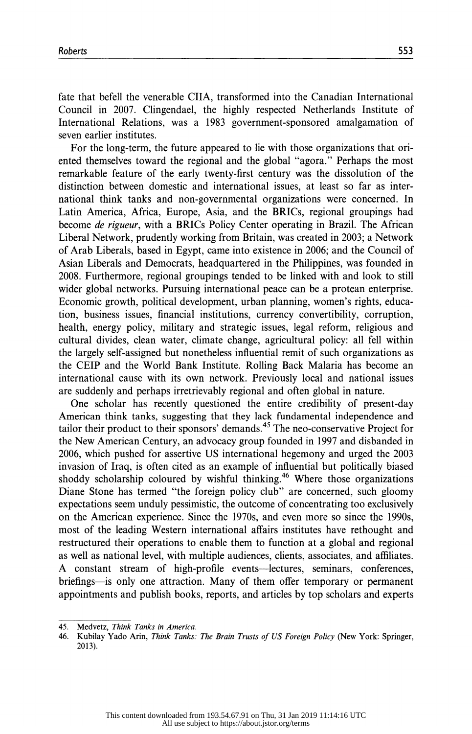fate that befell the venerable CIIA, transformed into the Canadian International Council in 2007. Clingendael, the highly respected Netherlands Institute of International Relations, was a 1983 government-sponsored amalgamation of seven earlier institutes.

 For the long-term, the future appeared to lie with those organizations that ori ented themselves toward the regional and the global "agora." Perhaps the most remarkable feature of the early twenty-first century was the dissolution of the distinction between domestic and international issues, at least so far as inter national think tanks and non-governmental organizations were concerned. In Latin America, Africa, Europe, Asia, and the BRICs, regional groupings had become de rigueur, with a BRICs Policy Center operating in Brazil. The African Liberal Network, prudently working from Britain, was created in 2003; a Network of Arab Liberals, based in Egypt, came into existence in 2006; and the Council of Asian Liberals and Democrats, headquartered in the Philippines, was founded in 2008. Furthermore, regional groupings tended to be linked with and look to still wider global networks. Pursuing international peace can be a protean enterprise. Economic growth, political development, urban planning, women's rights, educa tion, business issues, financial institutions, currency convertibility, corruption, health, energy policy, military and strategic issues, legal reform, religious and cultural divides, clean water, climate change, agricultural policy: all fell within the largely self-assigned but nonetheless influential remit of such organizations as the CEIP and the World Bank Institute. Rolling Back Malaria has become an international cause with its own network. Previously local and national issues are suddenly and perhaps irretrievably regional and often global in nature.

 One scholar has recently questioned the entire credibility of present-day American think tanks, suggesting that they lack fundamental independence and tailor their product to their sponsors' demands.45 The neo-conservative Project for the New American Century, an advocacy group founded in 1997 and disbanded in 2006, which pushed for assertive US international hegemony and urged the 2003 invasion of Iraq, is often cited as an example of influential but politically biased shoddy scholarship coloured by wishful thinking.<sup>46</sup> Where those organizations Diane Stone has termed "the foreign policy club" are concerned, such gloomy expectations seem unduly pessimistic, the outcome of concentrating too exclusively on the American experience. Since the 1970s, and even more so since the 1990s, most of the leading Western international affairs institutes have rethought and restructured their operations to enable them to function at a global and regional as well as national level, with multiple audiences, clients, associates, and affiliates. A constant stream of high-profile events—lectures, seminars, conferences, briefings—is only one attraction. Many of them offer temporary or permanent appointments and publish books, reports, and articles by top scholars and experts

<sup>45.</sup> Medvetz, Think Tanks in America.<br>46. Kubilay Yado Arin, Think Tanks:

Kubilay Yado Arin, Think Tanks: The Brain Trusts of US Foreign Policy (New York: Springer, 2013).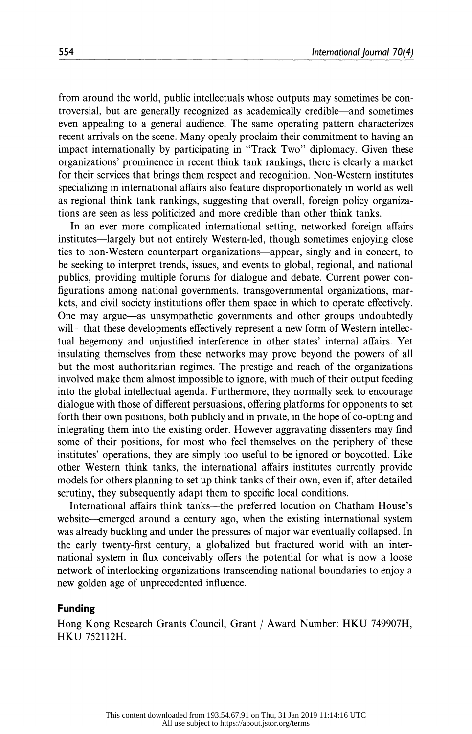from around the world, public intellectuals whose outputs may sometimes be con troversial, but are generally recognized as academically credible—and sometimes even appealing to a general audience. The same operating pattern characterizes recent arrivals on the scene. Many openly proclaim their commitment to having an impact internationally by participating in "Track Two" diplomacy. Given these organizations' prominence in recent think tank rankings, there is clearly a market for their services that brings them respect and recognition. Non-Western institutes specializing in international affairs also feature disproportionately in world as well as regional think tank rankings, suggesting that overall, foreign policy organiza tions are seen as less politicized and more credible than other think tanks.

 In an ever more complicated international setting, networked foreign affairs institutes—largely but not entirely Western-led, though sometimes enjoying close ties to non-Western counterpart organizations—appear, singly and in concert, to be seeking to interpret trends, issues, and events to global, regional, and national publics, providing multiple forums for dialogue and debate. Current power con figurations among national governments, transgovernmental organizations, mar kets, and civil society institutions offer them space in which to operate effectively. One may argue—as unsympathetic governments and other groups undoubtedly will—that these developments effectively represent a new form of Western intellec tual hegemony and unjustified interference in other states' internal affairs. Yet insulating themselves from these networks may prove beyond the powers of all but the most authoritarian regimes. The prestige and reach of the organizations involved make them almost impossible to ignore, with much of their output feeding into the global intellectual agenda. Furthermore, they normally seek to encourage dialogue with those of different persuasions, offering platforms for opponents to set forth their own positions, both publicly and in private, in the hope of co-opting and integrating them into the existing order. However aggravating dissenters may find some of their positions, for most who feel themselves on the periphery of these institutes' operations, they are simply too useful to be ignored or boycotted. Like other Western think tanks, the international affairs institutes currently provide models for others planning to set up think tanks of their own, even if, after detailed scrutiny, they subsequently adapt them to specific local conditions.

 International affairs think tanks—the preferred locution on Chatham House's website—emerged around a century ago, when the existing international system was already buckling and under the pressures of major war eventually collapsed. In the early twenty-first century, a globalized but fractured world with an inter national system in flux conceivably offers the potential for what is now a loose network of interlocking organizations transcending national boundaries to enjoy a new golden age of unprecedented influence.

#### Funding

 Hong Kong Research Grants Council, Grant / Award Number: HKU 749907H, HKU 752112H.